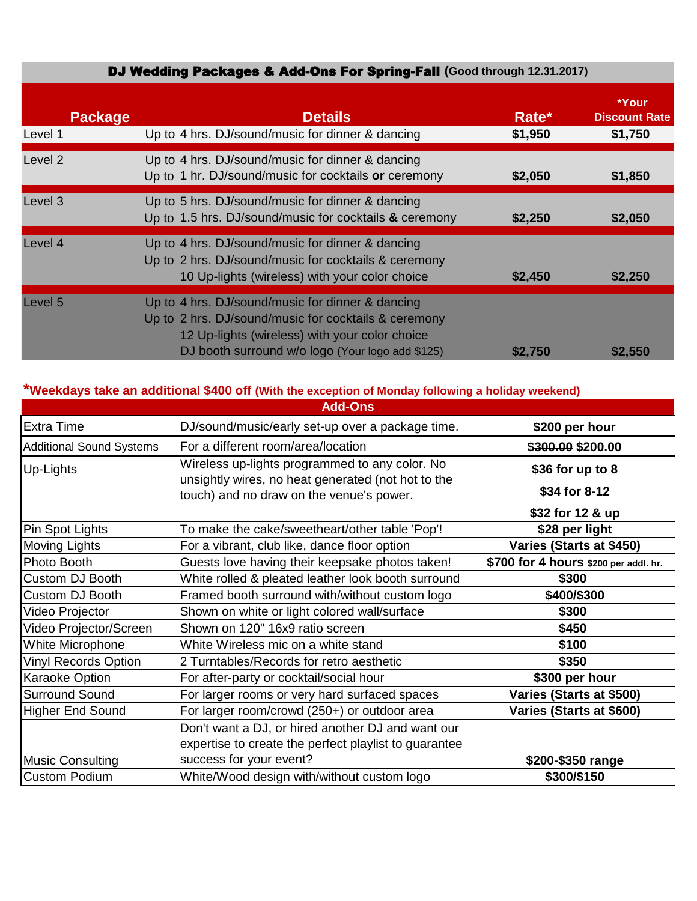## DJ Wedding Packages & Add-Ons For Spring-Fall **(Good through 12.31.2017)**

| <b>Package</b>     | <b>Details</b>                                                                                                                                                                                                 | Rate*   | *Your<br><b>Discount Rate</b> |
|--------------------|----------------------------------------------------------------------------------------------------------------------------------------------------------------------------------------------------------------|---------|-------------------------------|
| Level 1            | Up to 4 hrs. DJ/sound/music for dinner & dancing                                                                                                                                                               | \$1,950 | \$1,750                       |
| Level <sub>2</sub> | Up to 4 hrs. DJ/sound/music for dinner & dancing<br>Up to 1 hr. DJ/sound/music for cocktails or ceremony                                                                                                       | \$2,050 | \$1,850                       |
| Level 3            | Up to 5 hrs. DJ/sound/music for dinner & dancing<br>Up to 1.5 hrs. DJ/sound/music for cocktails & ceremony                                                                                                     | \$2,250 | \$2,050                       |
| Level 4            | Up to 4 hrs. DJ/sound/music for dinner & dancing<br>Up to 2 hrs. DJ/sound/music for cocktails & ceremony<br>10 Up-lights (wireless) with your color choice                                                     | \$2,450 | \$2,250                       |
| Level 5            | Up to 4 hrs. DJ/sound/music for dinner & dancing<br>Up to 2 hrs. DJ/sound/music for cocktails & ceremony<br>12 Up-lights (wireless) with your color choice<br>DJ booth surround w/o logo (Your logo add \$125) | \$2,750 | \$2,550                       |

# **\*Weekdays take an additional \$400 off (With the exception of Monday following a holiday weekend)**

|                                 | <b>Add-Ons</b>                                                                                 |                                       |  |
|---------------------------------|------------------------------------------------------------------------------------------------|---------------------------------------|--|
| <b>Extra Time</b>               | DJ/sound/music/early set-up over a package time.                                               | \$200 per hour                        |  |
| <b>Additional Sound Systems</b> | For a different room/area/location                                                             | \$ <del>300.00</del> \$200.00         |  |
| Up-Lights                       | Wireless up-lights programmed to any color. No                                                 | \$36 for up to 8                      |  |
|                                 | unsightly wires, no heat generated (not hot to the<br>touch) and no draw on the venue's power. | \$34 for 8-12                         |  |
|                                 |                                                                                                | \$32 for 12 & up                      |  |
| Pin Spot Lights                 | To make the cake/sweetheart/other table 'Pop'!                                                 | \$28 per light                        |  |
| Moving Lights                   | For a vibrant, club like, dance floor option                                                   | Varies (Starts at \$450)              |  |
| Photo Booth                     | Guests love having their keepsake photos taken!                                                | \$700 for 4 hours \$200 per addl. hr. |  |
| Custom DJ Booth                 | White rolled & pleated leather look booth surround                                             | \$300                                 |  |
| Custom DJ Booth                 | Framed booth surround with/without custom logo                                                 | \$400/\$300                           |  |
| Video Projector                 | Shown on white or light colored wall/surface                                                   | \$300                                 |  |
| Video Projector/Screen          | Shown on 120" 16x9 ratio screen                                                                | \$450                                 |  |
| White Microphone                | White Wireless mic on a white stand                                                            | \$100                                 |  |
| <b>Vinyl Records Option</b>     | 2 Turntables/Records for retro aesthetic                                                       | \$350                                 |  |
| Karaoke Option                  | For after-party or cocktail/social hour                                                        | \$300 per hour                        |  |
| <b>Surround Sound</b>           | For larger rooms or very hard surfaced spaces                                                  | Varies (Starts at \$500)              |  |
| Higher End Sound                | For larger room/crowd (250+) or outdoor area                                                   | Varies (Starts at \$600)              |  |
|                                 | Don't want a DJ, or hired another DJ and want our                                              |                                       |  |
|                                 | expertise to create the perfect playlist to guarantee                                          |                                       |  |
| <b>Music Consulting</b>         | success for your event?                                                                        | \$200-\$350 range                     |  |
| <b>Custom Podium</b>            | White/Wood design with/without custom logo                                                     | \$300/\$150                           |  |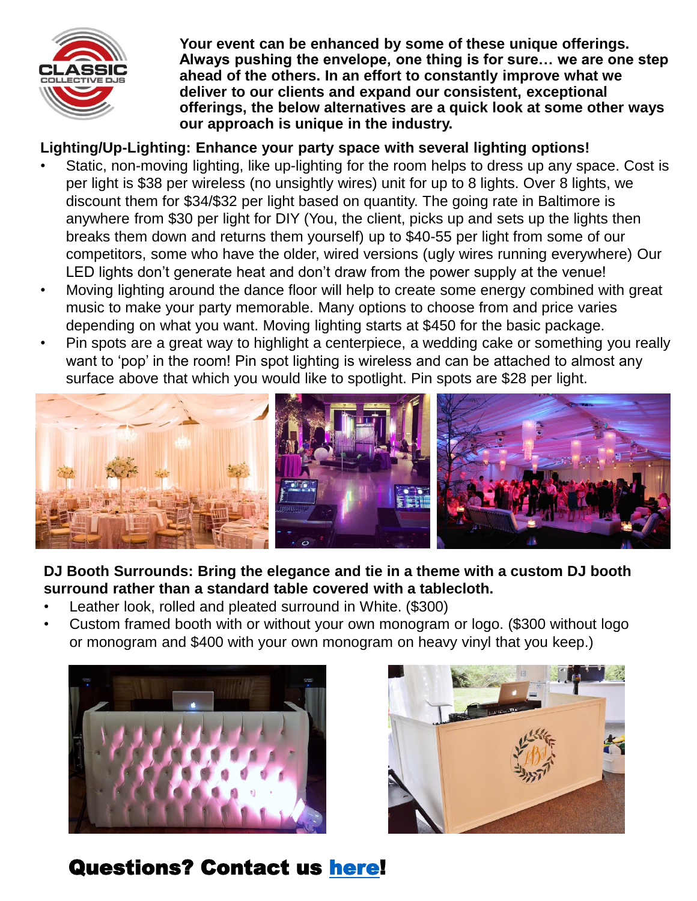

**Your event can be enhanced by some of these unique offerings. Always pushing the envelope, one thing is for sure… we are one step ahead of the others. In an effort to constantly improve what we deliver to our clients and expand our consistent, exceptional offerings, the below alternatives are a quick look at some other ways our approach is unique in the industry.** 

# **Lighting/Up-Lighting: Enhance your party space with several lighting options!**

- Static, non-moving lighting, like up-lighting for the room helps to dress up any space. Cost is per light is \$38 per wireless (no unsightly wires) unit for up to 8 lights. Over 8 lights, we discount them for \$34/\$32 per light based on quantity. The going rate in Baltimore is anywhere from \$30 per light for DIY (You, the client, picks up and sets up the lights then breaks them down and returns them yourself) up to \$40-55 per light from some of our competitors, some who have the older, wired versions (ugly wires running everywhere) Our LED lights don't generate heat and don't draw from the power supply at the venue!
- Moving lighting around the dance floor will help to create some energy combined with great music to make your party memorable. Many options to choose from and price varies depending on what you want. Moving lighting starts at \$450 for the basic package.
- Pin spots are a great way to highlight a centerpiece, a wedding cake or something you really want to 'pop' in the room! Pin spot lighting is wireless and can be attached to almost any surface above that which you would like to spotlight. Pin spots are \$28 per light.



### **DJ Booth Surrounds: Bring the elegance and tie in a theme with a custom DJ booth surround rather than a standard table covered with a tablecloth.**

- Leather look, rolled and pleated surround in White. (\$300)
- Custom framed booth with or without your own monogram or logo. (\$300 without logo or monogram and \$400 with your own monogram on heavy vinyl that you keep.)





Questions? Contact us [here!](mailto:Questions@classicdjs.com?subject=A question about your uniique offer...)